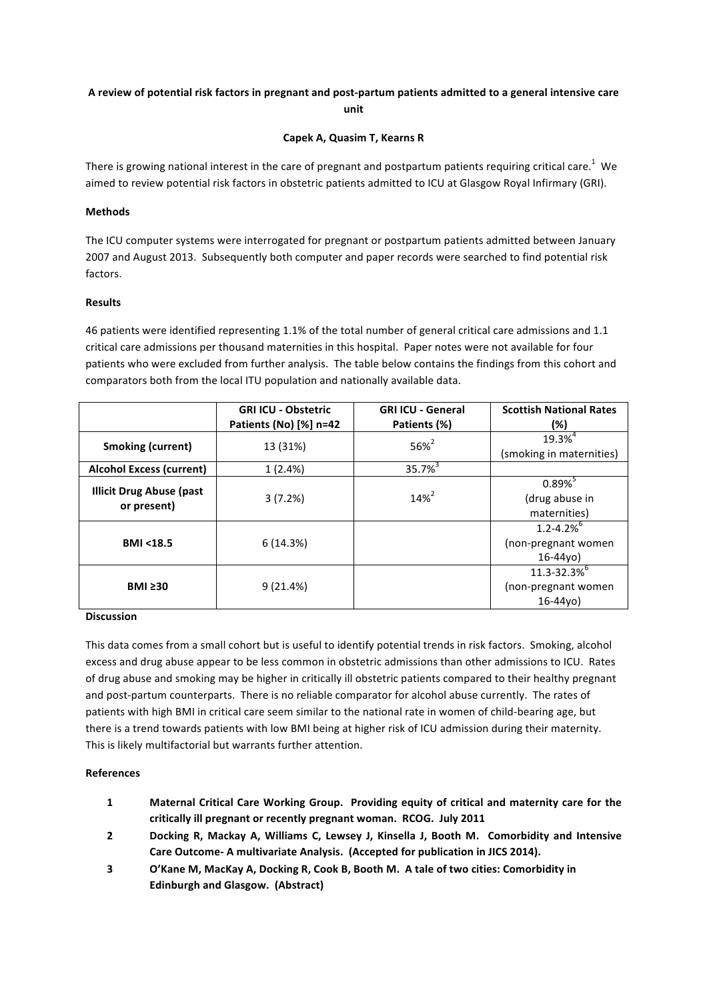# A review of potential risk factors in pregnant and post-partum patients admitted to a general intensive care **unit**

## **Capek A, Quasim T, Kearns R**

There is growing national interest in the care of pregnant and postpartum patients requiring critical care.<sup>1</sup> We aimed to review potential risk factors in obstetric patients admitted to ICU at Glasgow Royal Infirmary (GRI).

## **Methods**

The ICU computer systems were interrogated for pregnant or postpartum patients admitted between January 2007 and August 2013. Subsequently both computer and paper records were searched to find potential risk factors.

### **Results**

46 patients were identified representing 1.1% of the total number of general critical care admissions and 1.1 critical care admissions per thousand maternities in this hospital. Paper notes were not available for four patients who were excluded from further analysis. The table below contains the findings from this cohort and comparators both from the local ITU population and nationally available data.

|                                                | <b>GRI ICU - Obstetric</b><br>Patients (No) [%] n=42 | <b>GRI ICU - General</b><br>Patients (%) | <b>Scottish National Rates</b><br>(%)                             |
|------------------------------------------------|------------------------------------------------------|------------------------------------------|-------------------------------------------------------------------|
| <b>Smoking (current)</b>                       | 13 (31%)                                             | $56\%^{2}$                               | $19.3%^{4}$<br>(smoking in maternities)                           |
| <b>Alcohol Excess (current)</b>                | 1(2.4%)                                              | $35.7%^{3}$                              |                                                                   |
| <b>Illicit Drug Abuse (past</b><br>or present) | 3(7.2%)                                              | $14\%^{2}$                               | $0.89\%$<br>(drug abuse in<br>maternities)                        |
| <b>BMI &lt;18.5</b>                            | 6(14.3%)                                             |                                          | $1.2 - 4.2\%$ <sup>6</sup><br>(non-pregnant women)<br>$16 - 44y0$ |
| $BMI \geq 30$                                  | 9(21.4%)                                             |                                          | 11.3-32.3%<br>(non-pregnant women)<br>$16 - 44$ vo)               |

### **Discussion**

This data comes from a small cohort but is useful to identify potential trends in risk factors. Smoking, alcohol excess and drug abuse appear to be less common in obstetric admissions than other admissions to ICU. Rates of drug abuse and smoking may be higher in critically ill obstetric patients compared to their healthy pregnant and post-partum counterparts. There is no reliable comparator for alcohol abuse currently. The rates of patients with high BMI in critical care seem similar to the national rate in women of child-bearing age, but there is a trend towards patients with low BMI being at higher risk of ICU admission during their maternity. This is likely multifactorial but warrants further attention.

### **References**

- **1 Maternal Critical Care Working Group.** Providing equity of critical and maternity care for the critically ill pregnant or recently pregnant woman. RCOG. July 2011
- **2 Docking R, Mackay A, Williams C, Lewsey J, Kinsella J, Booth M. Comorbidity and Intensive** Care Outcome- A multivariate Analysis. (Accepted for publication in JICS 2014).
- **3 O'Kane M, MacKay A, Docking R, Cook B, Booth M. A tale of two cities: Comorbidity in Edinburgh and Glasgow. (Abstract)**